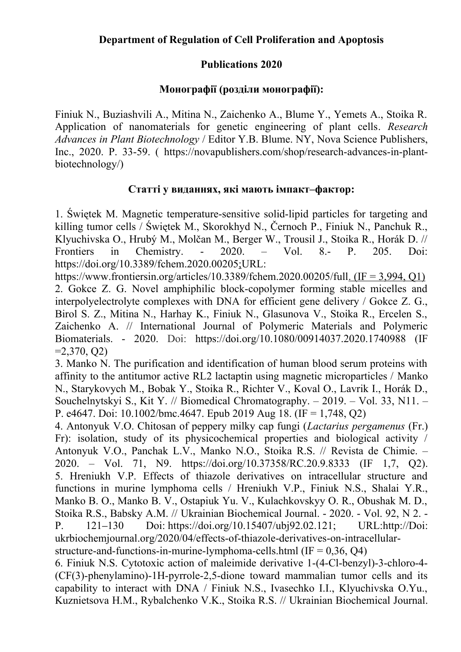## **Publications 2020**

## **Монографії (розділи монографії):**

Finiuk N., Buziashvili A., Mitina N., Zaichenko A., Blume Y., Yemets A., Stoika R. Application of nanomaterials for genetic engineering of plant cells. *Research Advances in Plant Biotechnology* / Editor Y.B. Blume. NY, Nova Science Publishers, Inc., 2020. P. 33-59. ( https://novapublishers.com/shop/research-advances-in-plantbiotechnology/)

## **Статті у виданнях, які мають імпакт–фактор:**

1. Świętek M. Magnetic temperature-sensitive solid-lipid particles for targeting and killing tumor cells / Świętek M., Skorokhyd N., Černoch P., Finiuk N., Panchuk R., Klyuchivska O., Hrubý M., Molčan M., Berger W., Trousil J., Stoika R., Horák D. // Frontiers in Chemistry. - 2020. – Vol. 8.- P. 205. Doi: https://doi.org/10.3389/fchem.2020.00205;URL:

https://www.frontiersin.org/articles/10.3389/fchem.2020.00205/full. ( $IF = 3.994$ ,  $O1$ ) 2. Gokce Z. G. Novel amphiphilic block-copolymer forming stable micelles and interpolyelectrolyte complexes with DNA for efficient gene delivery / Gokce Z. G., Birol S. Z., Mitina N., Harhay K., Finiuk N., Glasunova V., Stoika R., Ercelen S., Zaichenko A. // International Journal of Polymeric Materials and Polymeric Biomaterials. - 2020. Doi: https://doi.org/10.1080/00914037.2020.1740988 (IF  $=2,370,02$ 

3. Manko N. The purification and identification of human blood serum proteins with affinity to the antitumor active RL2 lactaptin using magnetic microparticles / Manko N., Starykovych M., Bobak Y., Stoika R., Richter V., Koval O., Lavrik I., Horák D., Souchelnytskyi S., Kit Y. // Biomedical Chromatography. – 2019. – Vol. 33, N11. – P. e4647. Doi:  $10.1002$ /bmc.4647. Epub 2019 Aug 18. (IF = 1,748, Q2)

4. Antonyuk V.O. Chitosan of peppery milky cap fungi (*Lactarius pergamenus* (Fr.) Fr): isolation, study of its physicochemical properties and biological activity / Antonyuk V.O., Panchak L.V., Manko N.O., Stoika R.S. // Revista de Chimie. – 2020. – Vol. 71, N9. https://doi.org/10.37358/RC.20.9.8333 (IF 1,7, Q2). 5. Hreniukh V.P. Effects of thiazole derivatives on intracellular structure and functions in murine lymphoma cells / Hreniukh V.P., Finiuk N.S., Shalai Y.R., Manko B. O., Manko B. V., Ostapiuk Yu. V., Kulachkovskyy O. R., Obushak M. D., Stoika R.S., Babsky A.M. // Ukrainian Biochemical Journal. - 2020. - Vol. 92, N 2. - P. 121–130 Doi: https://doi.org/10.15407/ubj92.02.121; URL:http://Doi: ukrbiochemjournal.org/2020/04/effects-of-thiazole-derivatives-on-intracellularstructure-and-functions-in-murine-lymphoma-cells.html  $(IF = 0.36, Q4)$ 

6. Finiuk N.S. Cytotoxic action of maleimide derivative 1-(4-Cl-benzyl)-3-chloro-4- (CF(3)-phenylamino)-1H-pyrrole-2,5-dione toward mammalian tumor cells and its capability to interact with DNA / Finiuk N.S., Ivasechko I.I., Klyuchivska O.Yu., Kuznietsova H.M., Rybalchenko V.K., Stoika R.S. // Ukrainian Biochemical Journal.